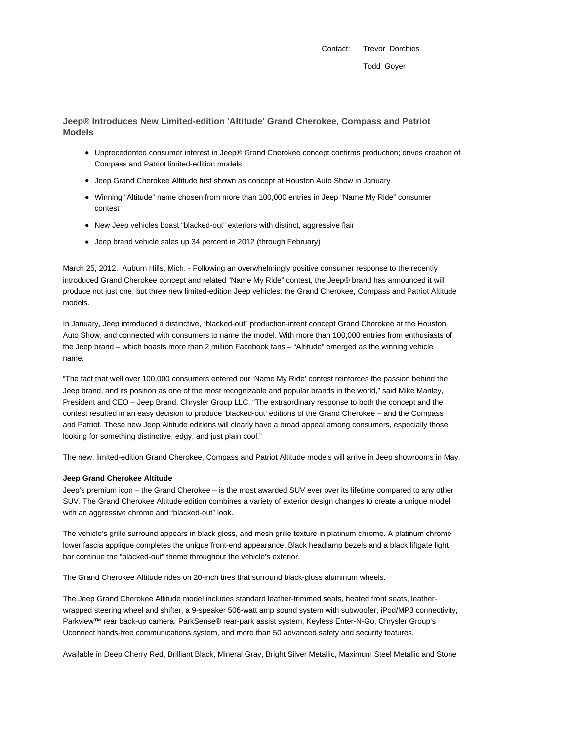Contact: Trevor Dorchies Todd Goyer

**Jeep® Introduces New Limited-edition 'Altitude' Grand Cherokee, Compass and Patriot Models**

- Unprecedented consumer interest in Jeep® Grand Cherokee concept confirms production; drives creation of Compass and Patriot limited-edition models
- Jeep Grand Cherokee Altitude first shown as concept at Houston Auto Show in January
- Winning "Altitude" name chosen from more than 100,000 entries in Jeep "Name My Ride" consumer contest
- New Jeep vehicles boast "blacked-out" exteriors with distinct, aggressive flair
- Jeep brand vehicle sales up 34 percent in 2012 (through February)

March 25, 2012, Auburn Hills, Mich. - Following an overwhelmingly positive consumer response to the recently introduced Grand Cherokee concept and related "Name My Ride" contest, the Jeep® brand has announced it will produce not just one, but three new limited-edition Jeep vehicles: the Grand Cherokee, Compass and Patriot Altitude models.

In January, Jeep introduced a distinctive, "blacked-out" production-intent concept Grand Cherokee at the Houston Auto Show, and connected with consumers to name the model. With more than 100,000 entries from enthusiasts of the Jeep brand – which boasts more than 2 million Facebook fans – "Altitude" emerged as the winning vehicle name.

"The fact that well over 100,000 consumers entered our 'Name My Ride' contest reinforces the passion behind the Jeep brand, and its position as one of the most recognizable and popular brands in the world," said Mike Manley, President and CEO – Jeep Brand, Chrysler Group LLC. "The extraordinary response to both the concept and the contest resulted in an easy decision to produce 'blacked-out' editions of the Grand Cherokee – and the Compass and Patriot. These new Jeep Altitude editions will clearly have a broad appeal among consumers, especially those looking for something distinctive, edgy, and just plain cool."

The new, limited-edition Grand Cherokee, Compass and Patriot Altitude models will arrive in Jeep showrooms in May.

### **Jeep Grand Cherokee Altitude**

Jeep's premium icon – the Grand Cherokee – is the most awarded SUV ever over its lifetime compared to any other SUV. The Grand Cherokee Altitude edition combines a variety of exterior design changes to create a unique model with an aggressive chrome and "blacked-out" look.

The vehicle's grille surround appears in black gloss, and mesh grille texture in platinum chrome. A platinum chrome lower fascia applique completes the unique front-end appearance. Black headlamp bezels and a black liftgate light bar continue the "blacked-out" theme throughout the vehicle's exterior.

The Grand Cherokee Altitude rides on 20-inch tires that surround black-gloss aluminum wheels.

The Jeep Grand Cherokee Altitude model includes standard leather-trimmed seats, heated front seats, leatherwrapped steering wheel and shifter, a 9-speaker 506-watt amp sound system with subwoofer, iPod/MP3 connectivity, Parkview™ rear back-up camera, ParkSense® rear-park assist system, Keyless Enter-N-Go, Chrysler Group's Uconnect hands-free communications system, and more than 50 advanced safety and security features.

Available in Deep Cherry Red, Brilliant Black, Mineral Gray, Bright Silver Metallic, Maximum Steel Metallic and Stone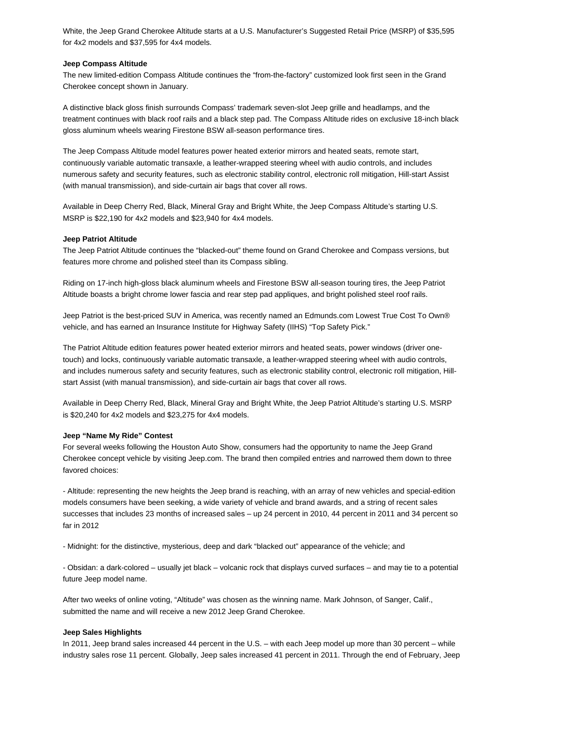White, the Jeep Grand Cherokee Altitude starts at a U.S. Manufacturer's Suggested Retail Price (MSRP) of \$35,595 for 4x2 models and \$37,595 for 4x4 models.

### **Jeep Compass Altitude**

The new limited-edition Compass Altitude continues the "from-the-factory" customized look first seen in the Grand Cherokee concept shown in January.

A distinctive black gloss finish surrounds Compass' trademark seven-slot Jeep grille and headlamps, and the treatment continues with black roof rails and a black step pad. The Compass Altitude rides on exclusive 18-inch black gloss aluminum wheels wearing Firestone BSW all-season performance tires.

The Jeep Compass Altitude model features power heated exterior mirrors and heated seats, remote start, continuously variable automatic transaxle, a leather-wrapped steering wheel with audio controls, and includes numerous safety and security features, such as electronic stability control, electronic roll mitigation, Hill-start Assist (with manual transmission), and side-curtain air bags that cover all rows.

Available in Deep Cherry Red, Black, Mineral Gray and Bright White, the Jeep Compass Altitude's starting U.S. MSRP is \$22,190 for 4x2 models and \$23,940 for 4x4 models.

### **Jeep Patriot Altitude**

The Jeep Patriot Altitude continues the "blacked-out" theme found on Grand Cherokee and Compass versions, but features more chrome and polished steel than its Compass sibling.

Riding on 17-inch high-gloss black aluminum wheels and Firestone BSW all-season touring tires, the Jeep Patriot Altitude boasts a bright chrome lower fascia and rear step pad appliques, and bright polished steel roof rails.

Jeep Patriot is the best-priced SUV in America, was recently named an Edmunds.com Lowest True Cost To Own® vehicle, and has earned an Insurance Institute for Highway Safety (IIHS) "Top Safety Pick."

The Patriot Altitude edition features power heated exterior mirrors and heated seats, power windows (driver onetouch) and locks, continuously variable automatic transaxle, a leather-wrapped steering wheel with audio controls, and includes numerous safety and security features, such as electronic stability control, electronic roll mitigation, Hillstart Assist (with manual transmission), and side-curtain air bags that cover all rows.

Available in Deep Cherry Red, Black, Mineral Gray and Bright White, the Jeep Patriot Altitude's starting U.S. MSRP is \$20,240 for 4x2 models and \$23,275 for 4x4 models.

## **Jeep "Name My Ride" Contest**

For several weeks following the Houston Auto Show, consumers had the opportunity to name the Jeep Grand Cherokee concept vehicle by visiting Jeep.com. The brand then compiled entries and narrowed them down to three favored choices:

- Altitude: representing the new heights the Jeep brand is reaching, with an array of new vehicles and special-edition models consumers have been seeking, a wide variety of vehicle and brand awards, and a string of recent sales successes that includes 23 months of increased sales – up 24 percent in 2010, 44 percent in 2011 and 34 percent so far in 2012

- Midnight: for the distinctive, mysterious, deep and dark "blacked out" appearance of the vehicle; and

- Obsidan: a dark-colored – usually jet black – volcanic rock that displays curved surfaces – and may tie to a potential future Jeep model name.

After two weeks of online voting, "Altitude" was chosen as the winning name. Mark Johnson, of Sanger, Calif., submitted the name and will receive a new 2012 Jeep Grand Cherokee.

### **Jeep Sales Highlights**

In 2011, Jeep brand sales increased 44 percent in the U.S. – with each Jeep model up more than 30 percent – while industry sales rose 11 percent. Globally, Jeep sales increased 41 percent in 2011. Through the end of February, Jeep